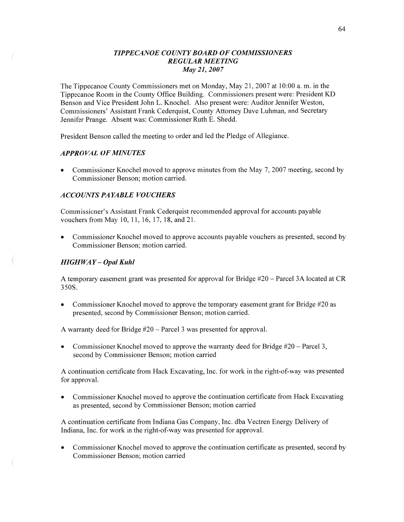## *TIPPECANOE COUNT Y BOARD* OF *COMMISSIONERS REGULAR MEETING*  May 21, *2007*

The Tippecanoe County Commissioners met on Monday, May 21, 2007 at 10:00 a. m. in the Tippecanoe Room in the County Office Building. Commissioners present were: President KD Benson and Vice President John L. Knochel. Also present were: Auditor Jennifer Weston, Commissioners' Assistant Frank Cederquist, County Attorney Dave Luhman, and Secretary Jennifer Prange. Absent was: Commissioner Ruth E. Shedd.

President Benson called the meeting to order and led the Pledge of Allegiance.

## *APPRO* VAL OF *MINUTES*

Commissioner Knochel moved to approve minutes from the May 7, 2007 meeting, second by Commissioner Benson; motion carried.

### *ACCOUNTS* PA *YABLE VOUCHERS*

Commissioner's Assistant Frank Cederquist recommended approval for accounts payable vouchers from May 10, 11, 16, 17, 18, and 21.

**0** Commissioner Knochel moved to approve accounts payable vouchers as presented, second by Commissioner Benson; motion carried.

## *HIGH* WAY **—** *Opal Kuhl*

.m-wwx'

A temporary easement grant was presented for approval for Bridge #20 — Parcel 3A located at CR 350S.

**0** Commissioner Knochel moved to approve the temporary easement grant for Bridge #20 as presented, second by Commissioner Benson; motion carried.

**A** warranty deed for Bridge #20 — Parcel 3 was presented for approval.

**0** Commissioner Knochel moved to approve the warranty deed for Bridge #20 — Parcel 3, second by Commissioner Benson; motion carried

A continuation certificate from Hack Excavating, Inc. for work in the right-of-way was presented for approval.

Commissioner Knochel moved to approve the continuation certificate from Hack Excavating as presented, second by Commissioner Benson; motion carried

**A** continuation certificate from Indiana Gas Company, Inc. dba Vectren Energy Delivery of Indiana, **Inc.** for work in the right-of-way was presented for approval.

**0** Commissioner Knochel moved to approve the continuation certificate as presented, second by Commissioner Benson; motion carried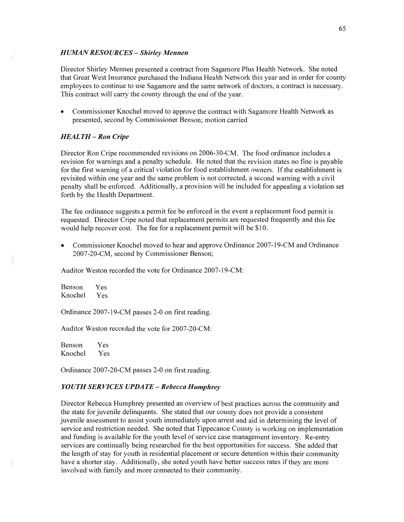### *H UAMN RESOURCES — Shirley Mennen*

Director Shirley Mennen presented a contract from Sagamore Plus Health Network. She noted **that** Great West Insurance purchased the Indiana Health Network this year and in order for county employees to continue to use Sagamore and the same network of doctors, a contract is necessary. This contract will carry the county through the end of the year.

**0** Commissioner Knochel moved to approve the contract with Sagamore Health Network as presented, second by Commissioner Benson; motion carried

## *HEAL* TH **—** Ron *Cripe*

Director Ron Cripe recommended revisions on 2006-3 O-CM. The food ordinance includes **a**  revision for warnings and a penalty schedule. He noted that the revision **states** no fine is payable for the first warning of **a** critical violation for food establishment owners. If the establishment is revisited within one year and the same problem is not corrected, a second warning with a civil penalty shall be enforced. Additionally, a provision will be included for appealing a violation set forth by the Health Department.

The fee ordinance suggests **a** permit fee be enforced in the event a replacement food permit is requested. Director Cripe noted **that** replacement permits are requested frequently and this fee would help recover cost. The fee for a replacement permit will be \$10.

**0** Commissioner Knochel moved to hear and approve Ordinance 2007-19-CM and Ordinance 2007-20-CM, second by Commissioner Benson;

Auditor Weston recorded the vote for Ordinance 2007-19-CM:

Benson Yes Knochel Yes

Ordinance 2007-19-CM passes 2-0 on first reading.

Auditor Weston recorded the vote for 2007—20-CM:

Benson Yes Knochel Yes

Ordinance 2007-20-CM passes 2-0 on first reading.

### *YOUTH SERVICES UPDATE — Rebecca Humphrey*

Director Rebecca Humphrey presented an overview of best practices across the community and the state for juvenile delinquents. She stated that our county does not provide **a** consistent juvenile assessment to assist youth immediately upon arrest and aid in determining the level of service and restriction needed. She noted that Tippecanoe County is working on implementation and funding is available for the youth level of service case management inventory. Re-entry services are continually being researched for the best opportunities for success. She added that the length of stay for youth in residential placement or secure detention within their community have a shorter stay. Additionally, she noted youth have better success rates if they are more involved with family and more connected to their community.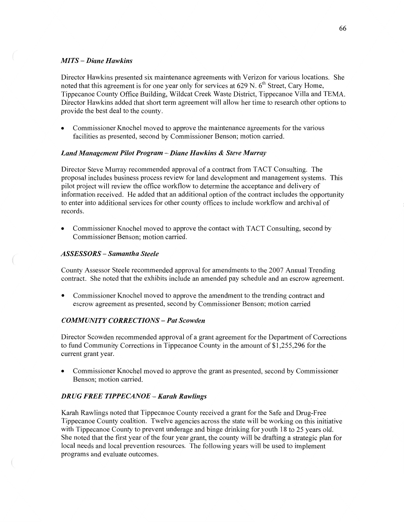### MI TS — *Diane Hawkins*

Director Hawkins presented six maintenance agreements with Verizon for various locations. She noted that this agreement is for one year only for services at 629 N.  $6<sup>th</sup>$  Street, Cary Home, Tippecanoe County Office Building, Wildcat Creek Waste District, Tippecanoe **Villa** and TEMA. Director Hawkins added that short term agreement will allow her time to research other options to provide the best deal to the county.

**0** Commissioner Knochel moved to approve the maintenance agreements for the various facilities as presented, second by Commissioner Benson; motion carried.

### *Land Management Pilot Program* **—** *Diane Hawkins & Steve Murray*

Director Steve Murray recommended approval of a contract from TACT Consulting. The proposal includes business process review for land development and management systems. This pilot project will review the office workflow to determine the acceptance and delivery of information received. He added **that** an additional option of the contract includes the opportunity to enter into additional services for other county offices to include workflow and archival of records.

**0** Commissioner Knochel moved to approve the contact with **TACT** Consulting, second by Commissioner Benson; motion carried.

# *ASSESSORS* — *Samantha Steele*

 $\left(\right.$ 

County Assessor Steele recommended approval for amendments to the 2007 Annual Trending contact. She noted that the exhibits include an amended pay schedule and an escrow agreement.

**0** Commissioner Knochel moved to approve the amendment to the trending contract and escrow agreement as presented, second by Commissioner Benson; motion carried

## *COMM* UNI TY *CORRECTIONS* **—** Pat *Scowden*

Director Scowden recommended approval of **<sup>a</sup>**grant agreement for the Department of Corrections to fund Community Corrections in Tippecanoe County in the amount of \$1,255,296 for the current grant year.

**0** Commissioner Knochel moved to approve the grant as presented, second by Commissioner Benson; motion carried.

### *DRUG FREE TIPPE CANOE* **—** *Karah Rawlings*

Karah Rawlings noted **that** Tippecanoe County received **<sup>a</sup>**grant for the Safe and Drug-Free Tippecanoe County coalition. Twelve agencies across the state will be working on this initiative with Tippecanoe County to prevent underage and binge drinking for youth 18 to 25 years old. She noted that the first year of the four year grant, the county will be drafting a strategic plan for local needs and local prevention resources. The following years will be used to implement programs and evaluate outcomes.